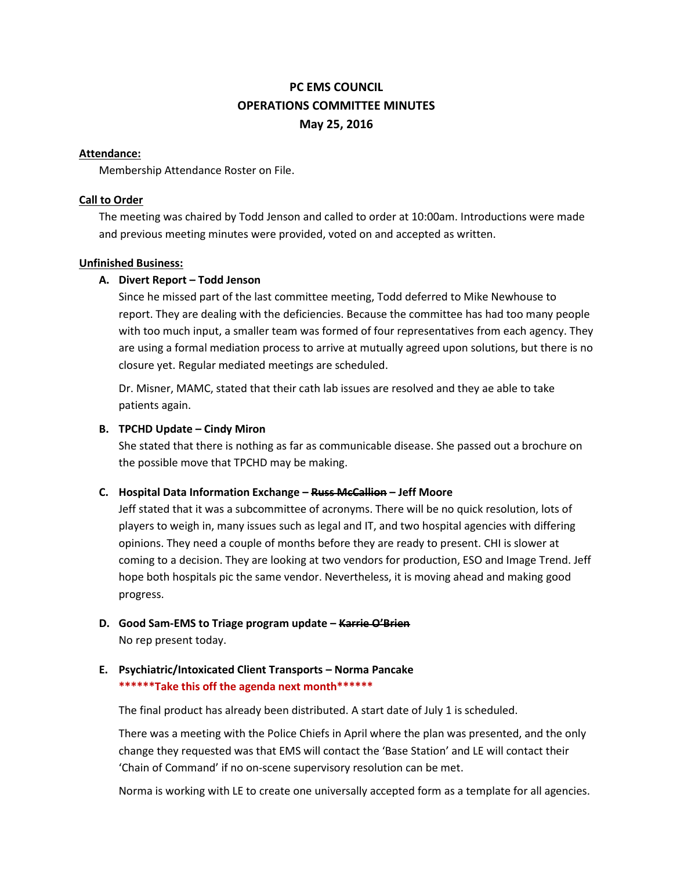# **PC EMS COUNCIL OPERATIONS COMMITTEE MINUTES May 25, 2016**

#### **Attendance:**

Membership Attendance Roster on File.

### **Call to Order**

The meeting was chaired by Todd Jenson and called to order at 10:00am. Introductions were made and previous meeting minutes were provided, voted on and accepted as written.

#### **Unfinished Business:**

### **A. Divert Report – Todd Jenson**

Since he missed part of the last committee meeting, Todd deferred to Mike Newhouse to report. They are dealing with the deficiencies. Because the committee has had too many people with too much input, a smaller team was formed of four representatives from each agency. They are using a formal mediation process to arrive at mutually agreed upon solutions, but there is no closure yet. Regular mediated meetings are scheduled.

Dr. Misner, MAMC, stated that their cath lab issues are resolved and they ae able to take patients again.

#### **B. TPCHD Update – Cindy Miron**

She stated that there is nothing as far as communicable disease. She passed out a brochure on the possible move that TPCHD may be making.

### **C. Hospital Data Information Exchange – Russ McCallion – Jeff Moore**

Jeff stated that it was a subcommittee of acronyms. There will be no quick resolution, lots of players to weigh in, many issues such as legal and IT, and two hospital agencies with differing opinions. They need a couple of months before they are ready to present. CHI is slower at coming to a decision. They are looking at two vendors for production, ESO and Image Trend. Jeff hope both hospitals pic the same vendor. Nevertheless, it is moving ahead and making good progress.

## **D. Good Sam-EMS to Triage program update – Karrie O'Brien** No rep present today.

### **E. Psychiatric/Intoxicated Client Transports – Norma Pancake \*\*\*\*\*\*Take this off the agenda next month\*\*\*\*\*\***

The final product has already been distributed. A start date of July 1 is scheduled.

There was a meeting with the Police Chiefs in April where the plan was presented, and the only change they requested was that EMS will contact the 'Base Station' and LE will contact their 'Chain of Command' if no on-scene supervisory resolution can be met.

Norma is working with LE to create one universally accepted form as a template for all agencies.